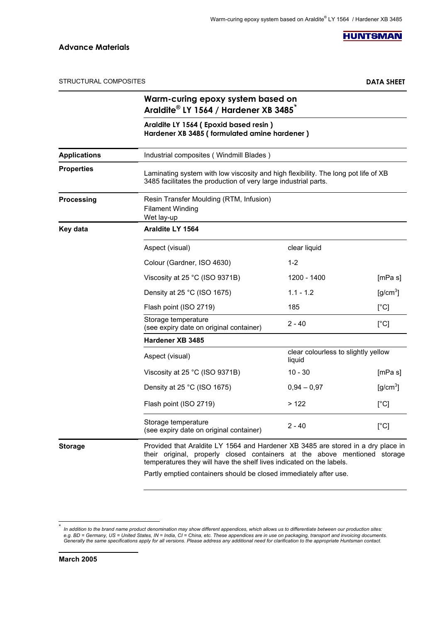**HUNTSMAN** 

STRUCTURAL COMPOSITES **DATA SHEET**

|                     | Warm-curing epoxy system based on<br>Araldite® LY 1564 / Hardener XB 3485 <sup>*</sup>                                                                                                                                                |                                               |                           |  |
|---------------------|---------------------------------------------------------------------------------------------------------------------------------------------------------------------------------------------------------------------------------------|-----------------------------------------------|---------------------------|--|
|                     | Araldite LY 1564 (Epoxid based resin)<br>Hardener XB 3485 (formulated amine hardener)                                                                                                                                                 |                                               |                           |  |
| <b>Applications</b> | Industrial composites (Windmill Blades)                                                                                                                                                                                               |                                               |                           |  |
| <b>Properties</b>   | Laminating system with low viscosity and high flexibility. The long pot life of XB<br>3485 facilitates the production of very large industrial parts.                                                                                 |                                               |                           |  |
| Processing          | Resin Transfer Moulding (RTM, Infusion)<br><b>Filament Winding</b><br>Wet lay-up                                                                                                                                                      |                                               |                           |  |
| Key data            | Araldite LY 1564                                                                                                                                                                                                                      |                                               |                           |  |
|                     | Aspect (visual)                                                                                                                                                                                                                       | clear liquid                                  |                           |  |
|                     | Colour (Gardner, ISO 4630)                                                                                                                                                                                                            | $1 - 2$                                       |                           |  |
|                     | Viscosity at 25 °C (ISO 9371B)                                                                                                                                                                                                        | 1200 - 1400                                   | [mPa s]                   |  |
|                     | Density at 25 °C (ISO 1675)                                                                                                                                                                                                           | $1.1 - 1.2$                                   | $[g/cm^3]$                |  |
|                     | Flash point (ISO 2719)                                                                                                                                                                                                                | 185                                           | $[^{\circ}C]$             |  |
|                     | Storage temperature<br>(see expiry date on original container)                                                                                                                                                                        | $2 - 40$                                      | [°C]                      |  |
|                     | Hardener XB 3485                                                                                                                                                                                                                      |                                               |                           |  |
|                     | Aspect (visual)                                                                                                                                                                                                                       | clear colourless to slightly yellow<br>liquid |                           |  |
|                     | Viscosity at 25 °C (ISO 9371B)                                                                                                                                                                                                        | $10 - 30$                                     | [mPa s]                   |  |
|                     | Density at 25 °C (ISO 1675)                                                                                                                                                                                                           | $0,94 - 0,97$                                 | [g/cm <sup>3</sup> ]      |  |
|                     | Flash point (ISO 2719)                                                                                                                                                                                                                | >122                                          | $\lceil{^{\circ}C}\rceil$ |  |
|                     | Storage temperature<br>(see expiry date on original container)                                                                                                                                                                        | $2 - 40$                                      | [°C]                      |  |
| <b>Storage</b>      | Provided that Araldite LY 1564 and Hardener XB 3485 are stored in a dry place in<br>their original, properly closed containers at the above mentioned storage<br>temperatures they will have the shelf lives indicated on the labels. |                                               |                           |  |

Partly emptied containers should be closed immediately after use.

-

<sup>\*</sup> In addition to the brand name product denomination may show different appendices, which allows us to differentiate between our production sites:<br>e.g. BD = Germany, US = United States, IN = India, CI = China, etc. These app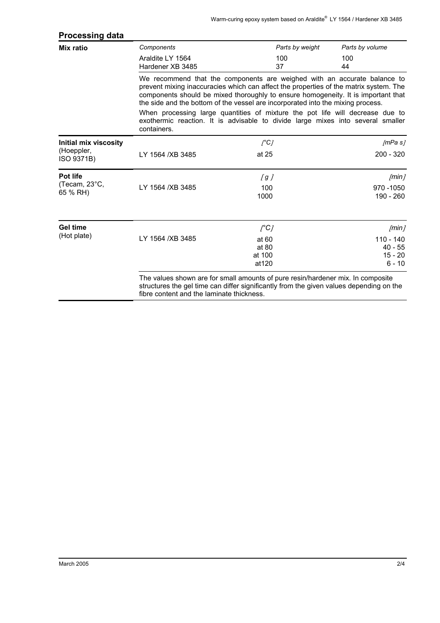| Components                                                                                                                                                                                                                                                                                                                                | Parts by weight                   | Parts by volume                                   |  |
|-------------------------------------------------------------------------------------------------------------------------------------------------------------------------------------------------------------------------------------------------------------------------------------------------------------------------------------------|-----------------------------------|---------------------------------------------------|--|
| Araldite LY 1564<br>Hardener XB 3485                                                                                                                                                                                                                                                                                                      | 100<br>37                         | 100<br>44                                         |  |
| We recommend that the components are weighed with an accurate balance to<br>prevent mixing inaccuracies which can affect the properties of the matrix system. The<br>components should be mixed thoroughly to ensure homogeneity. It is important that<br>the side and the bottom of the vessel are incorporated into the mixing process. |                                   |                                                   |  |
| When processing large quantities of mixture the pot life will decrease due to<br>exothermic reaction. It is advisable to divide large mixes into several smaller<br>containers.                                                                                                                                                           |                                   |                                                   |  |
|                                                                                                                                                                                                                                                                                                                                           | $\int C$                          | /mPa s                                            |  |
| LY 1564 / XB 3485                                                                                                                                                                                                                                                                                                                         | at 25                             | $200 - 320$                                       |  |
|                                                                                                                                                                                                                                                                                                                                           | [g]                               | /min <sub>l</sub>                                 |  |
| LY 1564 / XB 3485                                                                                                                                                                                                                                                                                                                         | 100<br>1000                       | 970 - 1050<br>190 - 260                           |  |
|                                                                                                                                                                                                                                                                                                                                           | $\int C$                          | /min <sub>l</sub>                                 |  |
| LY 1564 /XB 3485                                                                                                                                                                                                                                                                                                                          | at 60<br>at 80<br>at 100<br>at120 | $110 - 140$<br>$40 - 55$<br>$15 - 20$<br>$6 - 10$ |  |
|                                                                                                                                                                                                                                                                                                                                           |                                   |                                                   |  |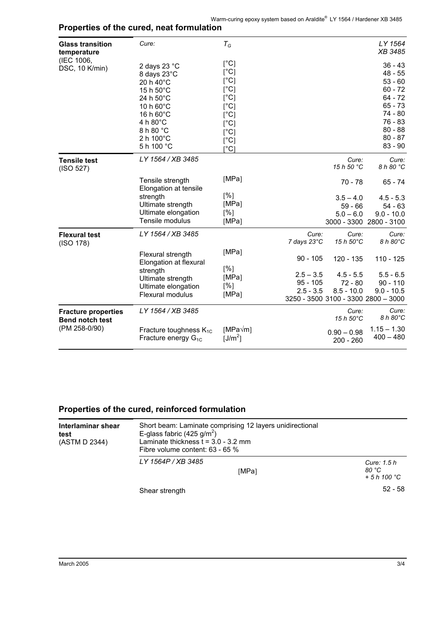| <b>Glass transition</b><br>temperature               | Cure:                                                                                                                                                      | $T_G$                                                                                                                                                                                     |                                                                                 |                                          | LY 1564<br>XB 3485                                                                                                                        |
|------------------------------------------------------|------------------------------------------------------------------------------------------------------------------------------------------------------------|-------------------------------------------------------------------------------------------------------------------------------------------------------------------------------------------|---------------------------------------------------------------------------------|------------------------------------------|-------------------------------------------------------------------------------------------------------------------------------------------|
| (IEC 1006,<br>DSC, 10 K/min)                         | 2 days 23 °C<br>8 days 23°C<br>20 h 40°C<br>15 h 50°C<br>24 h 50°C<br>10 h 60°C<br>16 h 60°C<br>4 h $80^{\circ}$ C<br>8 h 80 °C<br>2 h 100°C<br>5 h 100 °C | $[^{\circ}C]$<br>$[^{\circ}C]$<br>$[^{\circ}C]$<br>$[^{\circ}C]$<br>$[^{\circ}C]$<br>$\lceil$ °C]<br>$\lceil$ °C]<br>$\lceil$ °C]<br>[°C]<br>$\lceil$ °C]<br>$\mathsf{I}^\circ\mathsf{C}$ |                                                                                 |                                          | $36 - 43$<br>$48 - 55$<br>$53 - 60$<br>$60 - 72$<br>$64 - 72$<br>$65 - 73$<br>74 - 80<br>$76 - 83$<br>$80 - 88$<br>$80 - 87$<br>$83 - 90$ |
| <b>Tensile test</b><br>(ISO 527)                     | LY 1564 / XB 3485                                                                                                                                          |                                                                                                                                                                                           |                                                                                 | Cure:<br>15 h 50 °C                      | Cure:<br>8 h 80 °C                                                                                                                        |
|                                                      | Tensile strength<br>Elongation at tensile                                                                                                                  | [MPa]                                                                                                                                                                                     |                                                                                 | $70 - 78$                                | $65 - 74$                                                                                                                                 |
|                                                      | strength<br>Ultimate strength<br>Ultimate elongation<br>Tensile modulus                                                                                    | [%]<br>[MPa]<br>[%]<br>[MPa]                                                                                                                                                              |                                                                                 | $3.5 - 4.0$<br>$59 - 66$<br>$5.0 - 6.0$  | $4.5 - 5.3$<br>$54 - 63$<br>$9.0 - 10.0$<br>3000 - 3300 2800 - 3100                                                                       |
| <b>Flexural test</b><br>(ISO 178)                    | LY 1564 / XB 3485                                                                                                                                          |                                                                                                                                                                                           | Cure:<br>7 days 23°C                                                            | Cure:<br>15 h 50°C                       | Cure:<br>8 h 80°C                                                                                                                         |
|                                                      | Flexural strength<br>Elongation at flexural                                                                                                                | [MPa]<br>[%]                                                                                                                                                                              | $90 - 105$                                                                      | 120 - 135                                | $110 - 125$                                                                                                                               |
|                                                      | strength<br>Ultimate strength<br>Ultimate elongation<br><b>Flexural modulus</b>                                                                            | [MPa]<br>[%]<br>[MPa]                                                                                                                                                                     | $2.5 - 3.5$<br>$95 - 105$<br>$2.5 - 3.5$<br>3250 - 3500 3100 - 3300 2800 - 3000 | $4.5 - 5.5$<br>$72 - 80$<br>$8.5 - 10.0$ | $5.5 - 6.5$<br>$90 - 110$<br>$9.0 - 10.5$                                                                                                 |
| <b>Fracture properties</b><br><b>Bend notch test</b> | LY 1564 / XB 3485                                                                                                                                          |                                                                                                                                                                                           |                                                                                 | Cure:<br>$15h50^{\circ}$ C               | Cure:<br>8 h 80°C                                                                                                                         |
| (PM 258-0/90)                                        | Fracture toughness $K_{1C}$<br>Fracture energy $G_{1C}$                                                                                                    | $[MPa\sqrt{m}]$<br>[J/m <sup>2</sup> ]                                                                                                                                                    |                                                                                 | $0.90 - 0.98$<br>$200 - 260$             | $1.15 - 1.30$<br>$400 - 480$                                                                                                              |

## **Properties of the cured, neat formulation**

## **Properties of the cured, reinforced formulation**

| Interlaminar shear<br>test<br>(ASTM D 2344) | Short beam: Laminate comprising 12 layers unidirectional<br>E-glass fabric (425 g/m <sup>2</sup> )<br>Laminate thickness $t = 3.0 - 3.2$ mm<br>Fibre volume content: $63 - 65\%$ |                                     |  |
|---------------------------------------------|----------------------------------------------------------------------------------------------------------------------------------------------------------------------------------|-------------------------------------|--|
|                                             | LY 1564P / XB 3485<br>[MPa]                                                                                                                                                      | Cure: 1.5 h<br>80 °C<br>$+5h100 °C$ |  |
|                                             | Shear strength                                                                                                                                                                   | $52 - 58$                           |  |